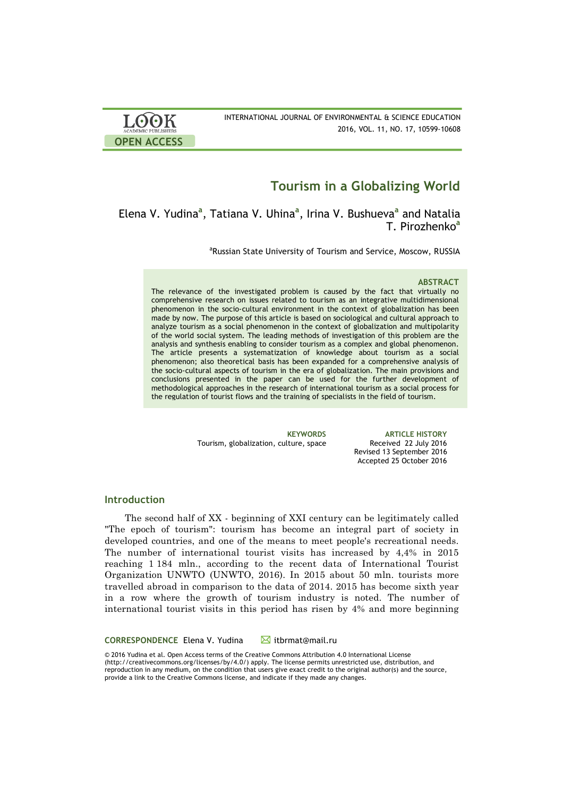| <b>LOOK</b>                | INTERNATIONAL JOURNAL OF ENVIRONMENTAL & SCIENCE EDUCATION |
|----------------------------|------------------------------------------------------------|
| <b>ACADEMIC PUBLISHERS</b> | 2016, VOL. 11, NO. 17, 10599-10608                         |
| <b>OPEN ACCESS</b>         |                                                            |

# **Tourism in a Globalizing World**

Elena V. Yudina**<sup>a</sup>** , Tatiana V. Uhina**<sup>a</sup>** , Irina V. Bushueva**<sup>a</sup>** and Natalia T. Pirozhenko**<sup>a</sup>**

<sup>a</sup>Russian State University of Tourism and Service, Moscow, RUSSIA

#### **ABSTRACT**

The relevance of the investigated problem is caused by the fact that virtually no comprehensive research on issues related to tourism as an integrative multidimensional phenomenon in the socio-cultural environment in the context of globalization has been made by now. The purpose of this article is based on sociological and cultural approach to analyze tourism as a social phenomenon in the context of globalization and multipolarity of the world social system. The leading methods of investigation of this problem are the analysis and synthesis enabling to consider tourism as a complex and global phenomenon. The article presents a systematization of knowledge about tourism as a social phenomenon; also theoretical basis has been expanded for a comprehensive analysis of the socio-cultural aspects of tourism in the era of globalization. The main provisions and conclusions presented in the paper can be used for the further development of methodological approaches in the research of international tourism as a social process for the regulation of tourist flows and the training of specialists in the field of tourism.

Tourism, globalization, culture, space Received 22 July 2016

**KEYWORDS ARTICLE HISTORY** Revised 13 September 2016 Accepted 25 October 2016

# **Introduction**

The second half of XX - beginning of XXI century can be legitimately called "The epoch of tourism": tourism has become an integral part of society in developed countries, and one of the means to meet people's recreational needs. The number of international tourist visits has increased by 4,4% in 2015 reaching 1 184 mln., according to the recent data of International Tourist Organization UNWTO (UNWTO, 2016). In 2015 about 50 mln. tourists more travelled abroad in comparison to the data of 2014. 2015 has become sixth year in a row where the growth of tourism industry is noted. The number of international tourist visits in this period has risen by 4% and more beginning

**CORRESPONDENCE** Elena V. Yudina Mithrmat@mail.ru

© 2016 Yudina et al. Open Access terms of the Creative Commons Attribution 4.0 International License (http://creativecommons.org/licenses/by/4.0/) apply. The license permits unrestricted use, distribution, and reproduction in any medium, on the condition that users give exact credit to the original author(s) and the source, provide a link to the Creative Commons license, and indicate if they made any changes.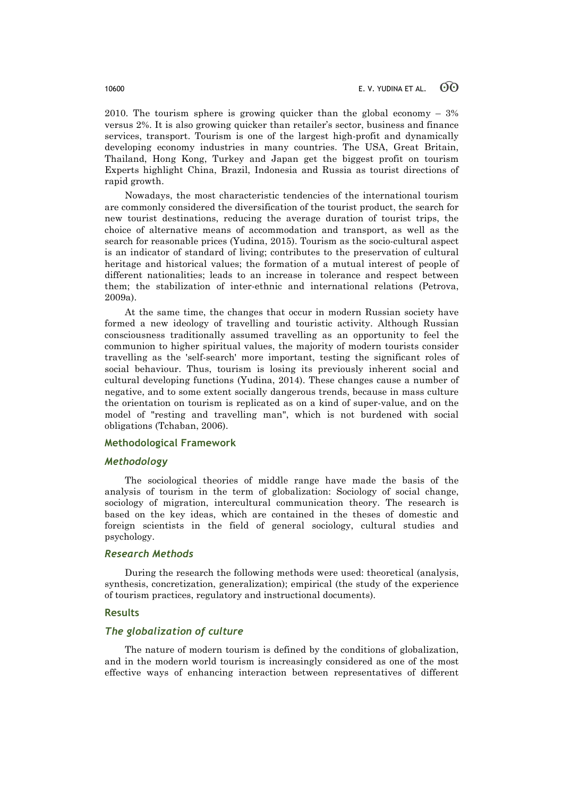2010. The tourism sphere is growing quicker than the global economy  $-3\%$ versus 2%. It is also growing quicker than retailer's sector, business and finance services, transport. Tourism is one of the largest high-profit and dynamically developing economy industries in many countries. The USA, Great Britain, Thailand, Hong Kong, Turkey and Japan get the biggest profit on tourism Experts highlight China, Brazil, Indonesia and Russia as tourist directions of rapid growth.

Nowadays, the most characteristic tendencies of the international tourism are commonly considered the diversification of the tourist product, the search for new tourist destinations, reducing the average duration of tourist trips, the choice of alternative means of accommodation and transport, as well as the search for reasonable prices (Yudina, 2015). Tourism as the socio-cultural aspect is an indicator of standard of living; contributes to the preservation of cultural heritage and historical values; the formation of a mutual interest of people of different nationalities; leads to an increase in tolerance and respect between them; the stabilization of inter-ethnic and international relations (Petrova, 2009a).

At the same time, the changes that occur in modern Russian society have formed a new ideology of travelling and touristic activity. Although Russian consciousness traditionally assumed travelling as an opportunity to feel the communion to higher spiritual values, the majority of modern tourists consider travelling as the 'self-search' more important, testing the significant roles of social behaviour. Thus, tourism is losing its previously inherent social and cultural developing functions (Yudina, 2014). These changes cause a number of negative, and to some extent socially dangerous trends, because in mass culture the orientation on tourism is replicated as on a kind of super-value, and on the model of "resting and travelling man", which is not burdened with social obligations (Tchaban, 2006).

# **Methodological Framework**

### *Methodology*

The sociological theories of middle range have made the basis of the analysis of tourism in the term of globalization: Sociology of social change, sociology of migration, intercultural communication theory. The research is based on the key ideas, which are contained in the theses of domestic and foreign scientists in the field of general sociology, cultural studies and psychology.

### *Research Methods*

During the research the following methods were used: theoretical (analysis, synthesis, concretization, generalization); empirical (the study of the experience of tourism practices, regulatory and instructional documents).

#### **Results**

# *The globalization of culture*

The nature of modern tourism is defined by the conditions of globalization, and in the modern world tourism is increasingly considered as one of the most effective ways of enhancing interaction between representatives of different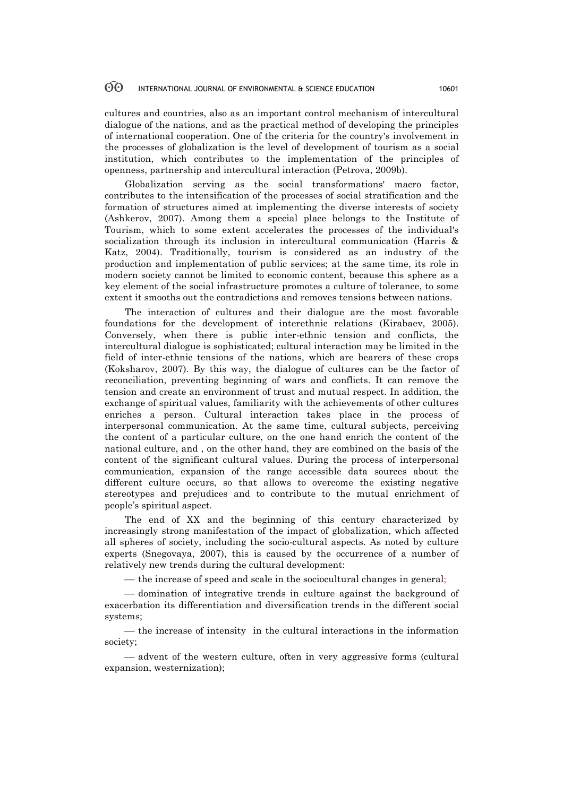cultures and countries, also as an important control mechanism of intercultural dialogue of the nations, and as the practical method of developing the principles of international cooperation. One of the criteria for the country's involvement in the processes of globalization is the level of development of tourism as a social institution, which contributes to the implementation of the principles of openness, partnership and intercultural interaction (Petrova, 2009b).

Globalization serving as the social transformations' macro factor, contributes to the intensification of the processes of social stratification and the formation of structures aimed at implementing the diverse interests of society (Ashkerov, 2007). Among them a special place belongs to the Institute of Tourism, which to some extent accelerates the processes of the individual's socialization through its inclusion in intercultural communication (Harris & Katz, 2004). Traditionally, tourism is considered as an industry of the production and implementation of public services; at the same time, its role in modern society cannot be limited to economic content, because this sphere as a key element of the social infrastructure promotes a culture of tolerance, to some extent it smooths out the contradictions and removes tensions between nations.

The interaction of cultures and their dialogue are the most favorable foundations for the development of interethnic relations (Kirabaev, 2005). Conversely, when there is public inter-ethnic tension and conflicts, the intercultural dialogue is sophisticated; cultural interaction may be limited in the field of inter-ethnic tensions of the nations, which are bearers of these crops (Koksharov, 2007). By this way, the dialogue of cultures can be the factor of reconciliation, preventing beginning of wars and conflicts. It can remove the tension and create an environment of trust and mutual respect. In addition, the exchange of spiritual values, familiarity with the achievements of other cultures enriches a person. Cultural interaction takes place in the process of interpersonal communication. At the same time, cultural subjects, perceiving the content of a particular culture, on the one hand enrich the content of the national culture, and , on the other hand, they are combined on the basis of the content of the significant cultural values. During the process of interpersonal communication, expansion of the range accessible data sources about the different culture occurs, so that allows to overcome the existing negative stereotypes and prejudices and to contribute to the mutual enrichment of people's spiritual aspect.

The end of XX and the beginning of this century characterized by increasingly strong manifestation of the impact of globalization, which affected all spheres of society, including the socio-cultural aspects. As noted by culture experts (Snegovaya, 2007), this is caused by the occurrence of a number of relatively new trends during the cultural development:

— the increase of speed and scale in the sociocultural changes in general;

¾ domination of integrative trends in culture against the background of exacerbation its differentiation and diversification trends in the different social systems;

— the increase of intensity in the cultural interactions in the information society;

¾ advent of the western culture, often in very aggressive forms (cultural expansion, westernization);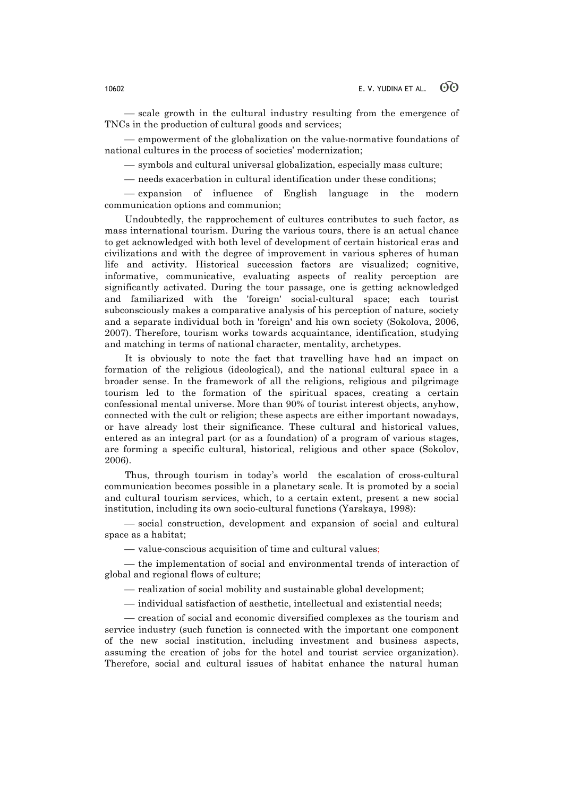— scale growth in the cultural industry resulting from the emergence of TNCs in the production of cultural goods and services;

¾ empowerment of the globalization on the value-normative foundations of national cultures in the process of societies' modernization;

¾ symbols and cultural universal globalization, especially mass culture;

¾ needs exacerbation in cultural identification under these conditions;

¾ expansion of influence of English language in the modern communication options and communion;

Undoubtedly, the rapprochement of cultures contributes to such factor, as mass international tourism. During the various tours, there is an actual chance to get acknowledged with both level of development of certain historical eras and civilizations and with the degree of improvement in various spheres of human life and activity. Historical succession factors are visualized; cognitive, informative, communicative, evaluating aspects of reality perception are significantly activated. During the tour passage, one is getting acknowledged and familiarized with the 'foreign' social-cultural space; each tourist subconsciously makes a comparative analysis of his perception of nature, society and a separate individual both in 'foreign' and his own society (Sokolova, 2006, 2007). Therefore, tourism works towards acquaintance, identification, studying and matching in terms of national character, mentality, archetypes.

It is obviously to note the fact that travelling have had an impact on formation of the religious (ideological), and the national cultural space in a broader sense. In the framework of all the religions, religious and pilgrimage tourism led to the formation of the spiritual spaces, creating a certain confessional mental universe. More than 90% of tourist interest objects, anyhow, connected with the cult or religion; these aspects are either important nowadays, or have already lost their significance. These cultural and historical values, entered as an integral part (or as a foundation) of a program of various stages, are forming a specific cultural, historical, religious and other space (Sokolov, 2006).

Thus, through tourism in today's world the escalation of cross-cultural communication becomes possible in a planetary scale. It is promoted by a social and cultural tourism services, which, to a certain extent, present a new social institution, including its own socio-cultural functions (Yarskaya, 1998):

¾ social construction, development and expansion of social and cultural space as a habitat;

— value-conscious acquisition of time and cultural values;

¾ the implementation of social and environmental trends of interaction of global and regional flows of culture;

 $-$  realization of social mobility and sustainable global development;

¾ individual satisfaction of aesthetic, intellectual and existential needs;

¾ creation of social and economic diversified complexes as the tourism and service industry (such function is connected with the important one component of the new social institution, including investment and business aspects, assuming the creation of jobs for the hotel and tourist service organization). Therefore, social and cultural issues of habitat enhance the natural human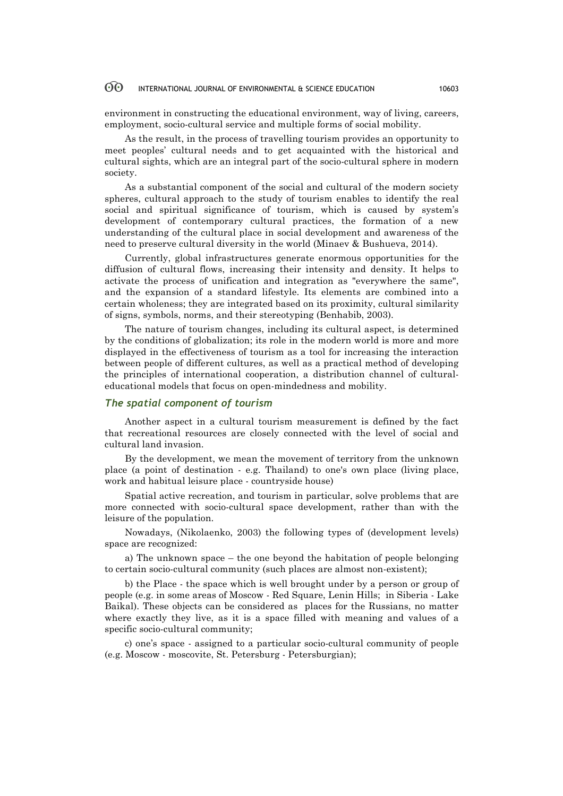environment in constructing the educational environment, way of living, careers, employment, socio-cultural service and multiple forms of social mobility.

As the result, in the process of travelling tourism provides an opportunity to meet peoples' cultural needs and to get acquainted with the historical and cultural sights, which are an integral part of the socio-cultural sphere in modern society.

As a substantial component of the social and cultural of the modern society spheres, cultural approach to the study of tourism enables to identify the real social and spiritual significance of tourism, which is caused by system's development of contemporary cultural practices, the formation of a new understanding of the cultural place in social development and awareness of the need to preserve cultural diversity in the world (Minaev & Bushueva, 2014).

Currently, global infrastructures generate enormous opportunities for the diffusion of cultural flows, increasing their intensity and density. It helps to activate the process of unification and integration as "everywhere the same", and the expansion of a standard lifestyle. Its elements are combined into a certain wholeness; they are integrated based on its proximity, cultural similarity of signs, symbols, norms, and their stereotyping (Benhabib, 2003).

The nature of tourism changes, including its cultural aspect, is determined by the conditions of globalization; its role in the modern world is more and more displayed in the effectiveness of tourism as a tool for increasing the interaction between people of different cultures, as well as a practical method of developing the principles of international cooperation, a distribution channel of culturaleducational models that focus on open-mindedness and mobility.

# *The spatial component of tourism*

Another aspect in a cultural tourism measurement is defined by the fact that recreational resources are closely connected with the level of social and cultural land invasion.

By the development, we mean the movement of territory from the unknown place (a point of destination - e.g. Thailand) to one's own place (living place, work and habitual leisure place - countryside house)

Spatial active recreation, and tourism in particular, solve problems that are more connected with socio-cultural space development, rather than with the leisure of the population.

Nowadays, (Nikolaenko, 2003) the following types of (development levels) space are recognized:

a) The unknown space – the one beyond the habitation of people belonging to certain socio-cultural community (such places are almost non-existent);

b) the Place - the space which is well brought under by a person or group of people (e.g. in some areas of Moscow - Red Square, Lenin Hills; in Siberia - Lake Baikal). These objects can be considered as places for the Russians, no matter where exactly they live, as it is a space filled with meaning and values of a specific socio-cultural community;

c) one's space - assigned to a particular socio-cultural community of people (e.g. Moscow - moscovite, St. Petersburg - Petersburgian);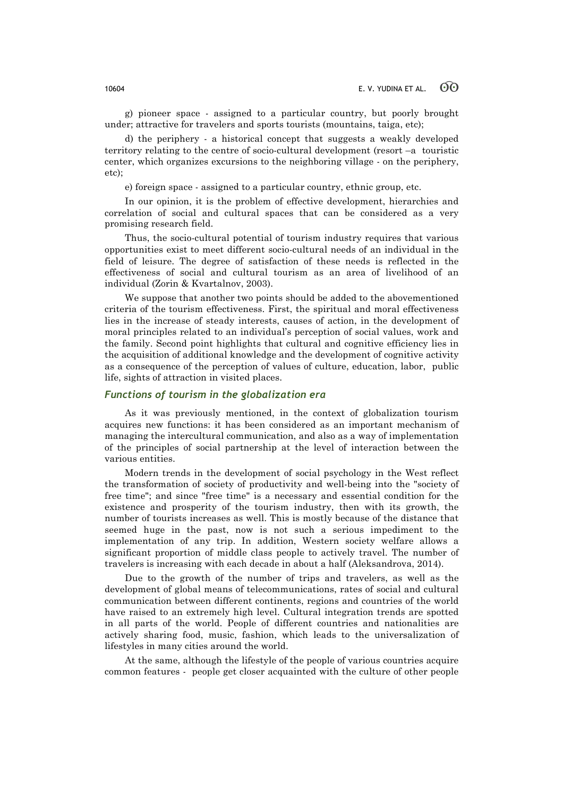g) pioneer space - assigned to a particular country, but poorly brought under; attractive for travelers and sports tourists (mountains, taiga, etc);

d) the periphery - a historical concept that suggests a weakly developed territory relating to the centre of socio-cultural development (resort –a touristic center, which organizes excursions to the neighboring village - on the periphery, etc);

e) foreign space - assigned to a particular country, ethnic group, etc.

In our opinion, it is the problem of effective development, hierarchies and correlation of social and cultural spaces that can be considered as a very promising research field.

Thus, the socio-cultural potential of tourism industry requires that various opportunities exist to meet different socio-cultural needs of an individual in the field of leisure. The degree of satisfaction of these needs is reflected in the effectiveness of social and cultural tourism as an area of livelihood of an individual (Zorin & Kvartalnov, 2003).

We suppose that another two points should be added to the abovementioned criteria of the tourism effectiveness. First, the spiritual and moral effectiveness lies in the increase of steady interests, causes of action, in the development of moral principles related to an individual's perception of social values, work and the family. Second point highlights that cultural and cognitive efficiency lies in the acquisition of additional knowledge and the development of cognitive activity as a consequence of the perception of values of culture, education, labor, public life, sights of attraction in visited places.

# *Functions of tourism in the globalization era*

As it was previously mentioned, in the context of globalization tourism acquires new functions: it has been considered as an important mechanism of managing the intercultural communication, and also as a way of implementation of the principles of social partnership at the level of interaction between the various entities.

Modern trends in the development of social psychology in the West reflect the transformation of society of productivity and well-being into the "society of free time"; and since "free time" is a necessary and essential condition for the existence and prosperity of the tourism industry, then with its growth, the number of tourists increases as well. This is mostly because of the distance that seemed huge in the past, now is not such a serious impediment to the implementation of any trip. In addition, Western society welfare allows a significant proportion of middle class people to actively travel. The number of travelers is increasing with each decade in about a half (Aleksandrova, 2014).

Due to the growth of the number of trips and travelers, as well as the development of global means of telecommunications, rates of social and cultural communication between different continents, regions and countries of the world have raised to an extremely high level. Cultural integration trends are spotted in all parts of the world. People of different countries and nationalities are actively sharing food, music, fashion, which leads to the universalization of lifestyles in many cities around the world.

At the same, although the lifestyle of the people of various countries acquire common features - people get closer acquainted with the culture of other people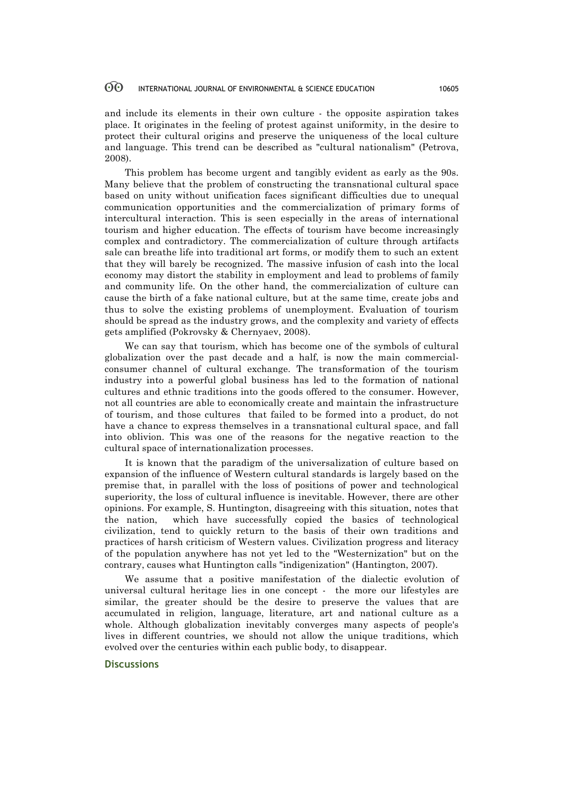and include its elements in their own culture - the opposite aspiration takes place. It originates in the feeling of protest against uniformity, in the desire to protect their cultural origins and preserve the uniqueness of the local culture and language. This trend can be described as "cultural nationalism" (Petrova, 2008).

This problem has become urgent and tangibly evident as early as the 90s. Many believe that the problem of constructing the transnational cultural space based on unity without unification faces significant difficulties due to unequal communication opportunities and the commercialization of primary forms of intercultural interaction. This is seen especially in the areas of international tourism and higher education. The effects of tourism have become increasingly complex and contradictory. The commercialization of culture through artifacts sale can breathe life into traditional art forms, or modify them to such an extent that they will barely be recognized. The massive infusion of cash into the local economy may distort the stability in employment and lead to problems of family and community life. On the other hand, the commercialization of culture can cause the birth of a fake national culture, but at the same time, create jobs and thus to solve the existing problems of unemployment. Evaluation of tourism should be spread as the industry grows, and the complexity and variety of effects gets amplified (Pokrovsky & Chernyaev, 2008).

We can say that tourism, which has become one of the symbols of cultural globalization over the past decade and a half, is now the main commercialconsumer channel of cultural exchange. The transformation of the tourism industry into a powerful global business has led to the formation of national cultures and ethnic traditions into the goods offered to the consumer. However, not all countries are able to economically create and maintain the infrastructure of tourism, and those cultures that failed to be formed into a product, do not have a chance to express themselves in a transnational cultural space, and fall into oblivion. This was one of the reasons for the negative reaction to the cultural space of internationalization processes.

It is known that the paradigm of the universalization of culture based on expansion of the influence of Western cultural standards is largely based on the premise that, in parallel with the loss of positions of power and technological superiority, the loss of cultural influence is inevitable. However, there are other opinions. For example, S. Huntington, disagreeing with this situation, notes that the nation, which have successfully copied the basics of technological civilization, tend to quickly return to the basis of their own traditions and practices of harsh criticism of Western values. Civilization progress and literacy of the population anywhere has not yet led to the "Westernization" but on the contrary, causes what Huntington calls "indigenization" (Hantington, 2007).

We assume that a positive manifestation of the dialectic evolution of universal cultural heritage lies in one concept - the more our lifestyles are similar, the greater should be the desire to preserve the values that are accumulated in religion, language, literature, art and national culture as a whole. Although globalization inevitably converges many aspects of people's lives in different countries, we should not allow the unique traditions, which evolved over the centuries within each public body, to disappear.

# **Discussions**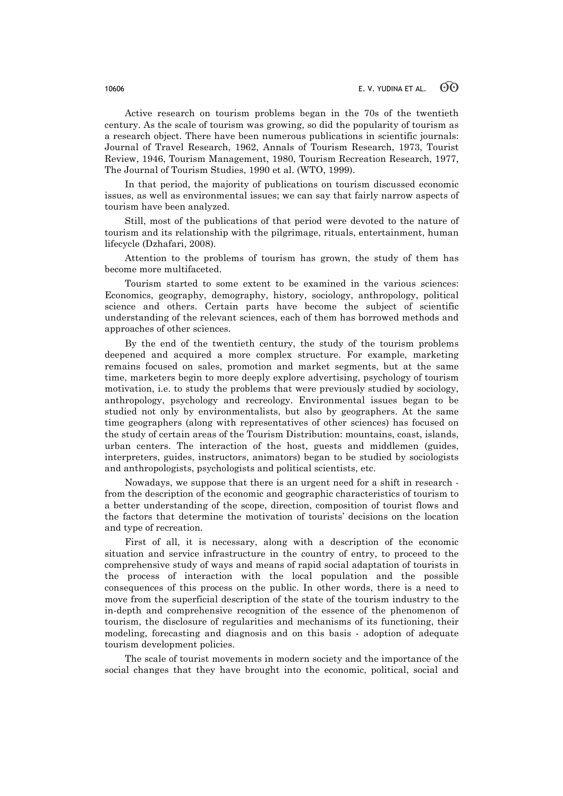Active research on tourism problems began in the 70s of the twentieth century. As the scale of tourism was growing, so did the popularity of tourism as a research object. There have been numerous publications in scientific journals: Journal of Travel Research, 1962, Annals of Tourism Research, 1973, Tourist Review, 1946, Tourism Management, 1980, Tourism Recreation Research, 1977, The Journal of Tourism Studies, 1990 et al. (WTO, 1999).

In that period, the majority of publications on tourism discussed economic issues, as well as environmental issues; we can say that fairly narrow aspects of tourism have been analyzed.

Still, most of the publications of that period were devoted to the nature of tourism and its relationship with the pilgrimage, rituals, entertainment, human lifecycle (Dzhafari, 2008).

Attention to the problems of tourism has grown, the study of them has become more multifaceted.

Tourism started to some extent to be examined in the various sciences: Economics, geography, demography, history, sociology, anthropology, political science and others. Certain parts have become the subject of scientific understanding of the relevant sciences, each of them has borrowed methods and approaches of other sciences.

By the end of the twentieth century, the study of the tourism problems deepened and acquired a more complex structure. For example, marketing remains focused on sales, promotion and market segments, but at the same time, marketers begin to more deeply explore advertising, psychology of tourism motivation, i.e. to study the problems that were previously studied by sociology, anthropology, psychology and recreology. Environmental issues began to be studied not only by environmentalists, but also by geographers. At the same time geographers (along with representatives of other sciences) has focused on the study of certain areas of the Tourism Distribution: mountains, coast, islands, urban centers. The interaction of the host, guests and middlemen (guides, interpreters, guides, instructors, animators) began to be studied by sociologists and anthropologists, psychologists and political scientists, etc.

Nowadays, we suppose that there is an urgent need for a shift in research from the description of the economic and geographic characteristics of tourism to a better understanding of the scope, direction, composition of tourist flows and the factors that determine the motivation of tourists' decisions on the location and type of recreation.

First of all, it is necessary, along with a description of the economic situation and service infrastructure in the country of entry, to proceed to the comprehensive study of ways and means of rapid social adaptation of tourists in the process of interaction with the local population and the possible consequences of this process on the public. In other words, there is a need to move from the superficial description of the state of the tourism industry to the in-depth and comprehensive recognition of the essence of the phenomenon of tourism, the disclosure of regularities and mechanisms of its functioning, their modeling, forecasting and diagnosis and on this basis - adoption of adequate tourism development policies.

The scale of tourist movements in modern society and the importance of the social changes that they have brought into the economic, political, social and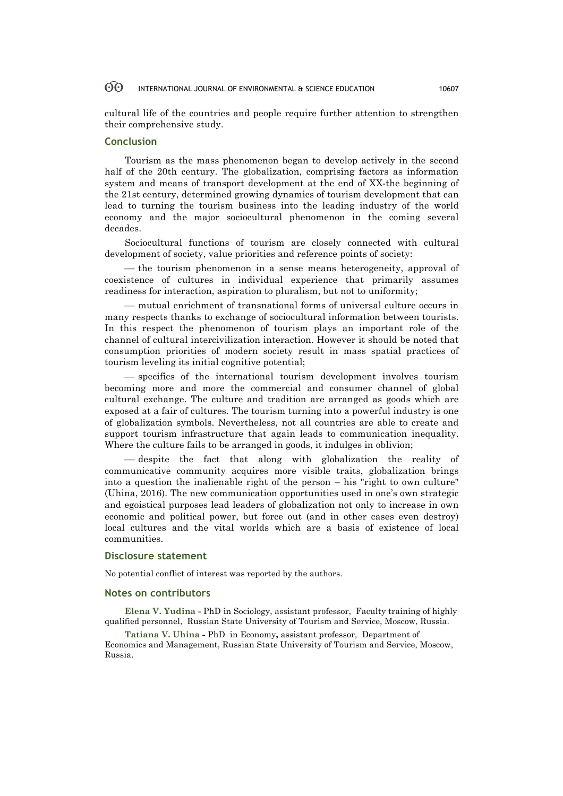cultural life of the countries and people require further attention to strengthen their comprehensive study.

#### **Conclusion**

Tourism as the mass phenomenon began to develop actively in the second half of the 20th century. The globalization, comprising factors as information system and means of transport development at the end of XX-the beginning of the 21st century, determined growing dynamics of tourism development that can lead to turning the tourism business into the leading industry of the world economy and the major sociocultural phenomenon in the coming several decades.

Sociocultural functions of tourism are closely connected with cultural development of society, value priorities and reference points of society:

— the tourism phenomenon in a sense means heterogeneity, approval of coexistence of cultures in individual experience that primarily assumes readiness for interaction, aspiration to pluralism, but not to uniformity;

¾ mutual enrichment of transnational forms of universal culture occurs in many respects thanks to exchange of sociocultural information between tourists. In this respect the phenomenon of tourism plays an important role of the channel of cultural intercivilization interaction. However it should be noted that consumption priorities of modern society result in mass spatial practices of tourism leveling its initial cognitive potential;

¾ specifics of the international tourism development involves tourism becoming more and more the commercial and consumer channel of global cultural exchange. The culture and tradition are arranged as goods which are exposed at a fair of cultures. The tourism turning into a powerful industry is one of globalization symbols. Nevertheless, not all countries are able to create and support tourism infrastructure that again leads to communication inequality. Where the culture fails to be arranged in goods, it indulges in oblivion;

¾ despite the fact that along with globalization the reality of communicative community acquires more visible traits, globalization brings into a question the inalienable right of the person – his "right to own culture" (Uhina, 2016). The new communication opportunities used in one's own strategic and egoistical purposes lead leaders of globalization not only to increase in own economic and political power, but force out (and in other cases even destroy) local cultures and the vital worlds which are a basis of existence of local communities.

#### **Disclosure statement**

No potential conflict of interest was reported by the authors.

#### **Notes on contributors**

**Elena V. Yudina -** PhD in Sociology, assistant professor, Faculty training of highly qualified personnel, Russian State University of Tourism and Service, Moscow, Russia.

**Tatiana V. Uhina -** PhD in Economy**,** assistant professor, Department of Economics and Management, Russian State University of Tourism and Service, Moscow, Russia.